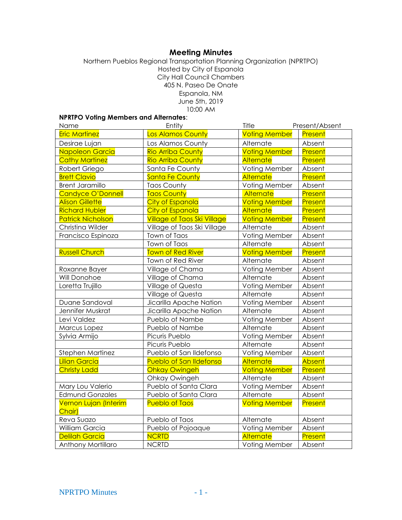# **Meeting Minutes**

Northern Pueblos Regional Transportation Planning Organization (NPRTPO) Hosted by City of Espanola City Hall Council Chambers 405 N. Paseo De Onate Espanola, NM June 5th, 2019 10:00 AM

## **NPRTPO Voting Members and Alternates**:

| Name                            | Entity                             | Title                | Present/Absent |
|---------------------------------|------------------------------------|----------------------|----------------|
| <b>Eric Martinez</b>            | Los Alamos County                  | <b>Voting Member</b> | Present        |
| Desirae Lujan                   | Los Alamos County                  | Alternate            | Absent         |
| Napoleon Garcia                 | <b>Rio Arriba County</b>           | <b>Voting Member</b> | Present        |
| <b>Cathy Martinez</b>           | <b>Rio Arriba County</b>           | Alternate            | Present        |
| Robert Griego                   | Santa Fe County                    | Voting Member        | Absent         |
| <b>Brett Clavio</b>             | <b>Santa Fe County</b>             | Alternate            | Present        |
| <b>Brent Jaramillo</b>          | <b>Taos County</b>                 | Voting Member        | Absent         |
| <b>Candyce O'Donnell</b>        | <b>Taos County</b>                 | Alternate            | Present        |
| <b>Alison Gillette</b>          | <b>City of Espanola</b>            | <b>Voting Member</b> | Present        |
| <b>Richard Hubler</b>           | <b>City of Espanola</b>            | Alternate            | Present        |
| <b>Patrick Nicholson</b>        | <b>Village of Taos Ski Village</b> | <b>Voting Member</b> | Present        |
| Christina Wilder                | Village of Taos Ski Village        | Alternate            | Absent         |
| Francisco Espinoza              | Town of Taos                       | Voting Member        | Absent         |
|                                 | Town of Taos                       | Alternate            | Absent         |
| <b>Russell Church</b>           | <b>Town of Red River</b>           | <b>Voting Member</b> | <b>Present</b> |
|                                 | Town of Red River                  | Alternate            | Absent         |
| Roxanne Bayer                   | Village of Chama                   | Voting Member        | Absent         |
| Will Donohoe                    | Village of Chama                   | Alternate            | Absent         |
| Loretta Trujillo                | Village of Questa                  | Voting Member        | Absent         |
|                                 | Village of Questa                  | Alternate            | Absent         |
| Duane Sandoval                  | Jicarilla Apache Nation            | Voting Member        | Absent         |
| Jennifer Muskrat                | Jicarilla Apache Nation            | Alternate            | Absent         |
| Levi Valdez                     | Pueblo of Nambe                    | Voting Member        | Absent         |
| Marcus Lopez                    | Pueblo of Nambe                    | Alternate            | Absent         |
| Sylvia Armijo                   | Picuris Pueblo                     | Voting Member        | Absent         |
|                                 | Picuris Pueblo                     | Alternate            | Absent         |
| Stephen Martinez                | Pueblo of San Ildefonso            | Voting Member        | Absent         |
| <b>Lilian Garcia</b>            | <b>Pueblo of San Ildefonso</b>     | <b>Alternate</b>     | Absent         |
| <b>Christy Ladd</b>             | <b>Ohkay Owingeh</b>               | <b>Voting Member</b> | <b>Present</b> |
|                                 | Ohkay Owingeh                      | Alternate            | Absent         |
| Mary Lou Valerio                | Pueblo of Santa Clara              | Voting Member        | Absent         |
| <b>Edmund Gonzales</b>          | Pueblo of Santa Clara              | Alternate            | Absent         |
| Vernon Lujan (Interim<br>Chair) | <b>Pueblo of Taos</b>              | <b>Voting Member</b> | Present        |
| Reva Suazo                      | Pueblo of Taos                     | Alternate            | Absent         |
| William Garcia                  | Pueblo of Pojoaque                 | Voting Member        | Absent         |
| <b>Delilah Garcia</b>           | <b>NCRTD</b>                       | Alternate            | Present        |
| Anthony Mortillaro              | <b>NCRTD</b>                       | Voting Member        | Absent         |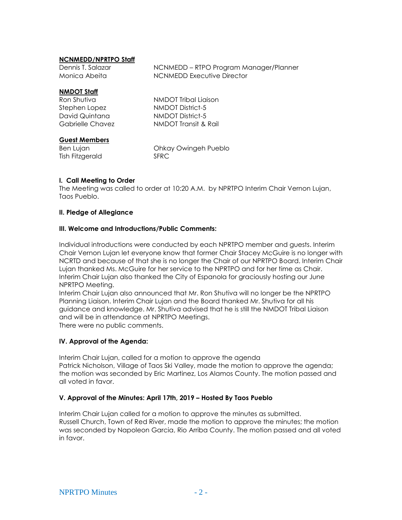#### **NCNMEDD/NPRTPO Staff**

| Dennis T. Salazar | NCNMEDD – RTPO Program Manager/Planner |
|-------------------|----------------------------------------|
| Monica Abeita     | NCNMEDD Executive Director             |
|                   |                                        |

#### **NMDOT Staff**

| Ron Shutiva      | NMDOT Tribal Liaison |
|------------------|----------------------|
| Stephen Lopez    | NMDOT District-5     |
| David Quintana   | NMDOT District-5     |
| Gabrielle Chavez | NMDOT Transit & Rail |
|                  |                      |

#### **Guest Members**

Tish Fitzgerald SFRC

Ben Lujan **Chicago Chicago Communist Chicago Pueblo** 

### **I. Call Meeting to Order**

The Meeting was called to order at 10:20 A.M. by NPRTPO Interim Chair Vernon Lujan, Taos Pueblo.

#### **II. Pledge of Allegiance**

#### **III. Welcome and Introductions/Public Comments:**

Individual introductions were conducted by each NPRTPO member and guests. Interim Chair Vernon Lujan let everyone know that former Chair Stacey McGuire is no longer with NCRTD and because of that she is no longer the Chair of our NPRTPO Board. Interim Chair Lujan thanked Ms. McGuire for her service to the NPRTPO and for her time as Chair. Interim Chair Lujan also thanked the City of Espanola for graciously hosting our June NPRTPO Meeting.

Interim Chair Lujan also announced that Mr. Ron Shutiva will no longer be the NPRTPO Planning Liaison. Interim Chair Lujan and the Board thanked Mr. Shutiva for all his guidance and knowledge. Mr. Shutiva advised that he is still the NMDOT Tribal Liaison and will be in attendance at NPRTPO Meetings. There were no public comments.

#### **IV. Approval of the Agenda:**

Interim Chair Lujan, called for a motion to approve the agenda Patrick Nicholson, Village of Taos Ski Valley, made the motion to approve the agenda; the motion was seconded by Eric Martinez, Los Alamos County. The motion passed and all voted in favor.

#### **V. Approval of the Minutes: April 17th, 2019 – Hosted By Taos Pueblo**

Interim Chair Lujan called for a motion to approve the minutes as submitted. Russell Church, Town of Red River, made the motion to approve the minutes; the motion was seconded by Napoleon Garcia, Rio Arriba County. The motion passed and all voted in favor.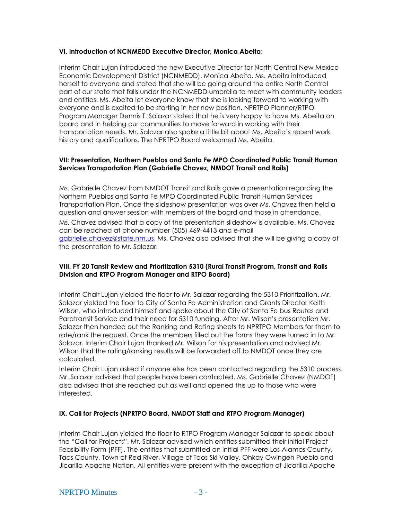#### **VI. Introduction of NCNMEDD Executive Director, Monica Abeita**:

Interim Chair Lujan introduced the new Executive Director for North Central New Mexico Economic Development District (NCNMEDD), Monica Abeita. Ms. Abeita introduced herself to everyone and stated that she will be going around the entire North Central part of our state that falls under the NCNMEDD umbrella to meet with community leaders and entities. Ms. Abeita let everyone know that she is looking forward to working with everyone and is excited to be starting in her new position. NPRTPO Planner/RTPO Program Manager Dennis T. Salazar stated that he is very happy to have Ms. Abeita on board and in helping our communities to move forward in working with their transportation needs. Mr. Salazar also spoke a little bit about Ms. Abeita's recent work history and qualifications. The NPRTPO Board welcomed Ms. Abeita.

#### **VII: Presentation, Northern Pueblos and Santa Fe MPO Coordinated Public Transit Human Services Transportation Plan (Gabrielle Chavez, NMDOT Transit and Rails)**

Ms. Gabrielle Chavez from NMDOT Transit and Rails gave a presentation regarding the Northern Pueblos and Santa Fe MPO Coordinated Public Transit Human Services Transportation Plan. Once the slideshow presentation was over Ms. Chavez then held a question and answer session with members of the board and those in attendance. Ms. Chavez advised that a copy of the presentation slideshow is available. Ms. Chavez can be reached at phone number (505) 469-4413 and e-mail [gabrielle.chavez@state.nm.us.](mailto:gabrielle.chavez@state.nm.us) Ms. Chavez also advised that she will be giving a copy of the presentation to Mr. Salazar.

#### **VIII. FY 20 Tansit Review and Prioritization 5310 (Rural Transit Program, Transit and Rails Division and RTPO Program Manager and RTPO Board)**

Interim Chair Lujan yielded the floor to Mr. Salazar regarding the 5310 Prioritization. Mr. Salazar yielded the floor to City of Santa Fe Administration and Grants Director Keith Wilson, who introduced himself and spoke about the City of Santa Fe bus Routes and Paratransit Service and their need for 5310 funding. After Mr. Wilson's presentation Mr. Salazar then handed out the Ranking and Rating sheets to NPRTPO Members for them to rate/rank the request. Once the members filled out the forms they were turned in to Mr. Salazar. Interim Chair Lujan thanked Mr. Wilson for his presentation and advised Mr. Wilson that the rating/ranking results will be forwarded off to NMDOT once they are calculated.

Interim Chair Lujan asked if anyone else has been contacted regarding the 5310 process. Mr. Salazar advised that people have been contacted. Ms. Gabrielle Chavez (NMDOT) also advised that she reached out as well and opened this up to those who were interested.

#### **IX. Call for Projects (NPRTPO Board, NMDOT Staff and RTPO Program Manager)**

Interim Chair Lujan yielded the floor to RTPO Program Manager Salazar to speak about the "Call for Projects". Mr. Salazar advised which entities submitted their initial Project Feasibility Form (PFF). The entities that submitted an initial PFF were Los Alamos County, Taos County, Town of Red River, Village of Taos Ski Valley, Ohkay Owingeh Pueblo and Jicarilla Apache Nation. All entities were present with the exception of Jicarilla Apache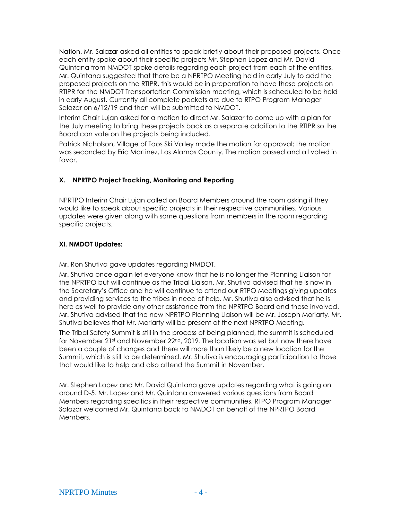Nation. Mr. Salazar asked all entities to speak briefly about their proposed projects. Once each entity spoke about their specific projects Mr. Stephen Lopez and Mr. David Quintana from NMDOT spoke details regarding each project from each of the entities. Mr. Quintana suggested that there be a NPRTPO Meeting held in early July to add the proposed projects on the RTIPR, this would be in preparation to have these projects on RTIPR for the NMDOT Transportation Commission meeting, which is scheduled to be held in early August. Currently all complete packets are due to RTPO Program Manager Salazar on 6/12/19 and then will be submitted to NMDOT.

Interim Chair Lujan asked for a motion to direct Mr. Salazar to come up with a plan for the July meeting to bring these projects back as a separate addition to the RTIPR so the Board can vote on the projects being included.

Patrick Nicholson, Village of Taos Ski Valley made the motion for approval; the motion was seconded by Eric Martinez, Los Alamos County. The motion passed and all voted in favor.

## **X. NPRTPO Project Tracking, Monitoring and Reporting**

NPRTPO Interim Chair Lujan called on Board Members around the room asking if they would like to speak about specific projects in their respective communities. Various updates were given along with some questions from members in the room regarding specific projects.

## **XI. NMDOT Updates:**

Mr. Ron Shutiva gave updates regarding NMDOT.

Mr. Shutiva once again let everyone know that he is no longer the Planning Liaison for the NPRTPO but will continue as the Tribal Liaison. Mr. Shutiva advised that he is now in the Secretary's Office and he will continue to attend our RTPO Meetings giving updates and providing services to the tribes in need of help. Mr. Shutiva also advised that he is here as well to provide any other assistance from the NPRTPO Board and those involved. Mr. Shutiva advised that the new NPRTPO Planning Liaison will be Mr. Joseph Moriarty. Mr. Shutiva believes that Mr. Moriarty will be present at the next NPRTPO Meeting.

The Tribal Safety Summit is still in the process of being planned, the summit is scheduled for November 21<sup>st</sup> and November 22<sup>nd</sup>, 2019. The location was set but now there have been a couple of changes and there will more than likely be a new location for the Summit, which is still to be determined. Mr. Shutiva is encouraging participation to those that would like to help and also attend the Summit in November.

Mr. Stephen Lopez and Mr. David Quintana gave updates regarding what is going on around D-5. Mr. Lopez and Mr. Quintana answered various questions from Board Members regarding specifics in their respective communities. RTPO Program Manager Salazar welcomed Mr. Quintana back to NMDOT on behalf of the NPRTPO Board Members.